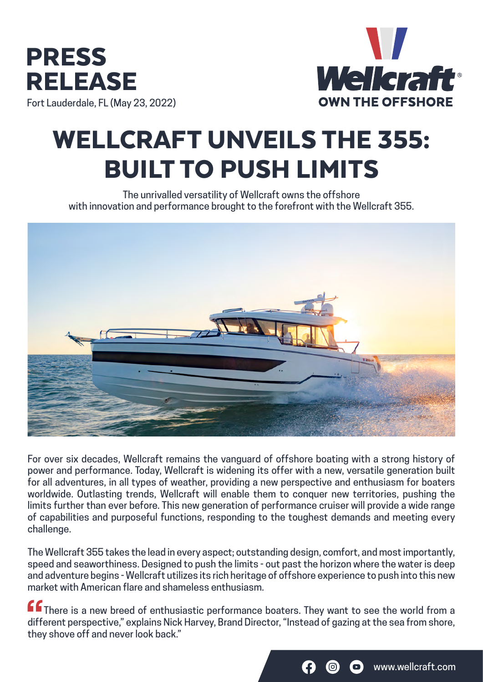



# WELLCRAFT UNVEILS THE 355: BUILT TO PUSH LIMITS

The unrivalled versatility of Wellcraft owns the offshore with innovation and performance brought to the forefront with the Wellcraft 355.



For over six decades, Wellcraft remains the vanguard of offshore boating with a strong history of power and performance. Today, Wellcraft is widening its offer with a new, versatile generation built for all adventures, in all types of weather, providing a new perspective and enthusiasm for boaters worldwide. Outlasting trends, Wellcraft will enable them to conquer new territories, pushing the limits further than ever before. This new generation of performance cruiser will provide a wide range of capabilities and purposeful functions, responding to the toughest demands and meeting every challenge.

The Wellcraft 355 takes the lead in every aspect; outstanding design, comfort, and most importantly, speed and seaworthiness. Designed to push the limits - out past the horizon where the water is deep and adventure begins - Wellcraft utilizes its rich heritage of offshore experience to push into this new market with American flare and shameless enthusiasm.

**ff** There is a new breed of enthusiastic performance boaters. They want to see the world from a different perspective," explains Nick Harvey, Brand Director, "Instead of gazing at the sea from shore, they shove off and never look back."